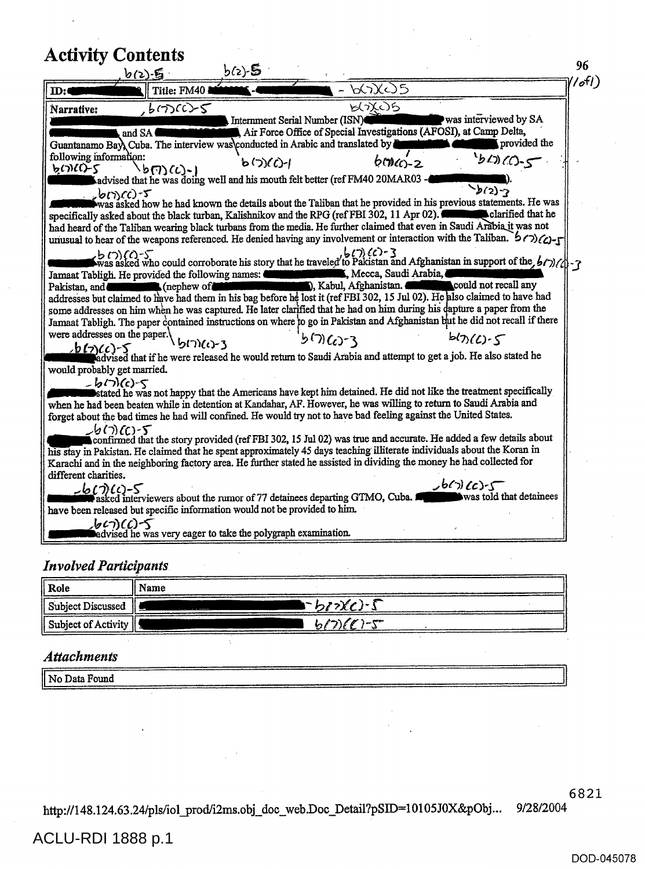| 667X675<br>Title: FM40<br>しいびつら<br>$, b \in C$ -5<br>was interviewed by SA<br>Internment Serial Number (ISN)<br>Air Force Office of Special Investigations (AFOSI), at Camp Delta,<br>and SA<br>provided the<br>Guantanamo Bay), Cuba. The interview was conducted in Arabic and translated by<br>following information:<br>40(0.5<br>$b(2)(c) - 1$<br>$600(0) - 2$<br>$b(\eta)(t)$ -)<br>advised that he was doing well and his mouth felt better (ref FM40 20MAR03 -<br>$\mathcal{L}_{2}\mathcal{L}_{2}$<br>$26(7)(c) - 5$<br>was asked how he had known the details about the Taliban that he provided in his previous statements. He was<br>specifically asked about the black turban, Kalishnikov and the RPG (ref FBI 302, 11 Apr 02). <b>Contract that he</b><br>had heard of the Taliban wearing black turbans from the media. He further claimed that even in Saudi Arabia it was not<br>unusual to hear of the weapons referenced. He denied having any involvement or interaction with the Taliban. $67$<br>$6(7)(6)-3$<br>$\binom{1}{2}$ (c) $\binom{2}{3}$<br>was asked who could corroborate his story that he traveled to Pakistan and Afghanistan in support of the $\binom{1}{2}$<br>Mecca, Saudi Arabia,<br>Jamaat Tabligh. He provided the following names:<br>, Kabul, Afghanistan. <b>Communication</b> could not recall any<br>Pakistan, and <b>Community</b> (nephew of<br>addresses but claimed to have had them in his bag before he lost it (ref FBI 302, 15 Jul 02). He also claimed to have had<br>some addresses on him when he was captured. He later clarified that he had on him during his dapture a paper from the<br>Jamaat Tabligh. The paper contained instructions on where to go in Pakistan and Afghanistan but he did not recall if there<br>were addresses on the paper.<br>$b(t)(C)$ -5<br>$5000 - 3$<br>りつんいろ<br>b(7)(c)-5<br>advised that if he were released he would return to Saudi Arabia and attempt to get a job. He also stated he<br>would probably get married.<br>$-$ b(7)(c)-5<br>stated he was not happy that the Americans have kept him detained. He did not like the treatment specifically<br>when he had been beaten while in detention at Kandahar, AF. However, he was willing to return to Saudi Arabia and<br>forget about the bad times he had will confined. He would try not to have bad feeling against the United States.<br>$L_2(\tau)(C)$ -5°<br>confirmed that the story provided (ref FBI 302, 15 Jul 02) was true and accurate. He added a few details about<br>his stay in Pakistan. He claimed that he spent approximately 45 days teaching illiterate individuals about the Koran in<br>Karachi and in the neighboring factory area. He further stated he assisted in dividing the money he had collected for |                                     | 6(2) ,后 | b(2)- <b>S</b> |  |
|----------------------------------------------------------------------------------------------------------------------------------------------------------------------------------------------------------------------------------------------------------------------------------------------------------------------------------------------------------------------------------------------------------------------------------------------------------------------------------------------------------------------------------------------------------------------------------------------------------------------------------------------------------------------------------------------------------------------------------------------------------------------------------------------------------------------------------------------------------------------------------------------------------------------------------------------------------------------------------------------------------------------------------------------------------------------------------------------------------------------------------------------------------------------------------------------------------------------------------------------------------------------------------------------------------------------------------------------------------------------------------------------------------------------------------------------------------------------------------------------------------------------------------------------------------------------------------------------------------------------------------------------------------------------------------------------------------------------------------------------------------------------------------------------------------------------------------------------------------------------------------------------------------------------------------------------------------------------------------------------------------------------------------------------------------------------------------------------------------------------------------------------------------------------------------------------------------------------------------------------------------------------------------------------------------------------------------------------------------------------------------------------------------------------------------------------------------------------------------------------------------------------------------------------------------------------------------------------------------------------------------------------------------------------------------------------------------------------------------------------------------------------------------------------|-------------------------------------|---------|----------------|--|
|                                                                                                                                                                                                                                                                                                                                                                                                                                                                                                                                                                                                                                                                                                                                                                                                                                                                                                                                                                                                                                                                                                                                                                                                                                                                                                                                                                                                                                                                                                                                                                                                                                                                                                                                                                                                                                                                                                                                                                                                                                                                                                                                                                                                                                                                                                                                                                                                                                                                                                                                                                                                                                                                                                                                                                                              |                                     |         |                |  |
|                                                                                                                                                                                                                                                                                                                                                                                                                                                                                                                                                                                                                                                                                                                                                                                                                                                                                                                                                                                                                                                                                                                                                                                                                                                                                                                                                                                                                                                                                                                                                                                                                                                                                                                                                                                                                                                                                                                                                                                                                                                                                                                                                                                                                                                                                                                                                                                                                                                                                                                                                                                                                                                                                                                                                                                              |                                     |         |                |  |
| different charities.<br>$J^{(n)}(c)$<br>$-6(7)(c)$ -5<br>was told that detainees<br>asked interviewers about the rumor of 77 detainees departing GTMO, Cuba.<br>have been released but specific information would not be provided to him.<br>しいにつく                                                                                                                                                                                                                                                                                                                                                                                                                                                                                                                                                                                                                                                                                                                                                                                                                                                                                                                                                                                                                                                                                                                                                                                                                                                                                                                                                                                                                                                                                                                                                                                                                                                                                                                                                                                                                                                                                                                                                                                                                                                                                                                                                                                                                                                                                                                                                                                                                                                                                                                                           | $\mathbf{m}$<br>Narrative:<br>しいによく |         |                |  |

## *Involved Participants*

| Role                                          | Name        |
|-----------------------------------------------|-------------|
| Subject Discussed                             | いっかくびら      |
| $\parallel$ Subject of Activity $\parallel$ . | $h(7)(6)-5$ |

## *Attachments*

| No Data Found |  |
|---------------|--|
|               |  |
| --------      |  |
|               |  |

Æ.

6821

http://148.124.63.24/p1s/iol\_prod/i2ms.obj\_doc web.Doc\_Detail?pSED=10105JOX&pObj... 9/28/2004

## ACLU-RDI 1888 p.1